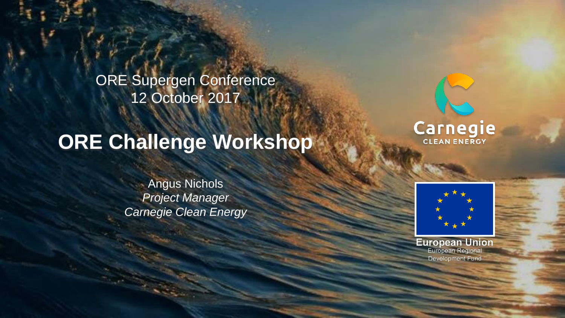ORE Supergen Conference 12 October 2017

# **ORE Challenge Workshop**

Angus Nichols *Project Manager Carnegie Clean Energy*





**European Union**<br>European Regional Development Fund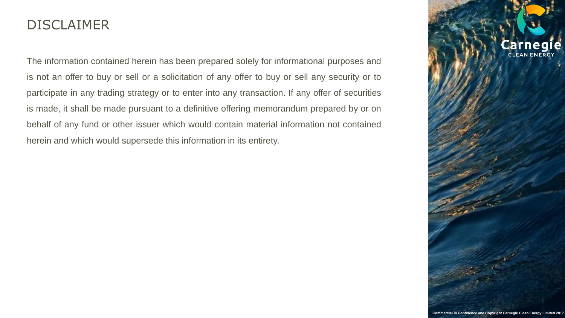#### DISCLAIMER

The information contained herein has been prepared solely for informational purposes and is not an offer to buy or sell or a solicitation of any offer to buy or sell any security or to participate in any trading strategy or to enter into any transaction. If any offer of securities is made, it shall be made pursuant to a definitive offering memorandum prepared by or on behalf of any fund or other issuer which would contain material information not contained herein and which would supersede this information in its entirety.



**Commercial in Confidence and Copyright Carnegie Clean Energy Limited 2017**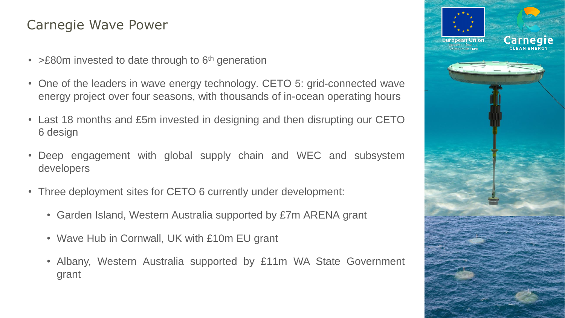## Carnegie Wave Power

- > £80m invested to date through to 6<sup>th</sup> generation
- One of the leaders in wave energy technology. CETO 5: grid-connected wave energy project over four seasons, with thousands of in-ocean operating hours
- Last 18 months and £5m invested in designing and then disrupting our CETO 6 design
- Deep engagement with global supply chain and WEC and subsystem developers
- Three deployment sites for CETO 6 currently under development:
	- Garden Island, Western Australia supported by £7m ARENA grant
	- Wave Hub in Cornwall, UK with £10m EU grant
	- Albany, Western Australia supported by £11m WA State Government grant

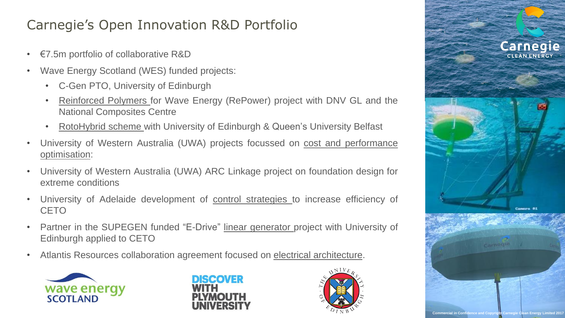## Carnegie's Open Innovation R&D Portfolio

- €7.5m portfolio of collaborative R&D
- Wave Energy Scotland (WES) funded projects:
	- C-Gen PTO, University of Edinburgh
	- Reinforced Polymers for Wave Energy (RePower) project with DNV GL and the National Composites Centre
	- RotoHybrid scheme with University of Edinburgh & Queen's University Belfast
- University of Western Australia (UWA) projects focussed on cost and performance optimisation:
- University of Western Australia (UWA) ARC Linkage project on foundation design for extreme conditions
- University of Adelaide development of control strategies to increase efficiency of **CETO**
- Partner in the SUPEGEN funded "E-Drive" linear generator project with University of Edinburgh applied to CETO
- Atlantis Resources collaboration agreement focused on electrical architecture.







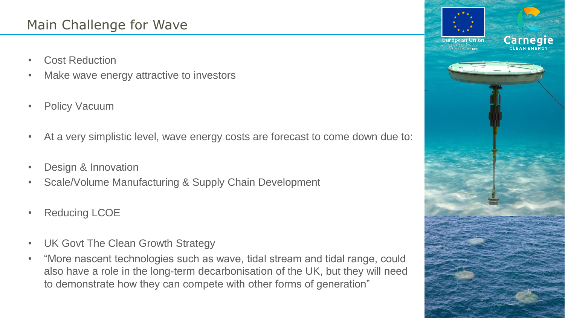## Main Challenge for Wave

- **Cost Reduction**
- Make wave energy attractive to investors
- Policy Vacuum
- At a very simplistic level, wave energy costs are forecast to come down due to:
- Design & Innovation
- Scale/Volume Manufacturing & Supply Chain Development
- Reducing LCOE
- UK Govt The Clean Growth Strategy
- "More nascent technologies such as wave, tidal stream and tidal range, could also have a role in the long-term decarbonisation of the UK, but they will need to demonstrate how they can compete with other forms of generation"

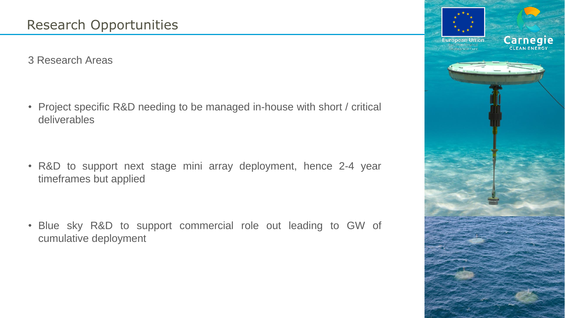3 Research Areas

• Project specific R&D needing to be managed in-house with short / critical deliverables

• R&D to support next stage mini array deployment, hence 2-4 year timeframes but applied

• Blue sky R&D to support commercial role out leading to GW of cumulative deployment

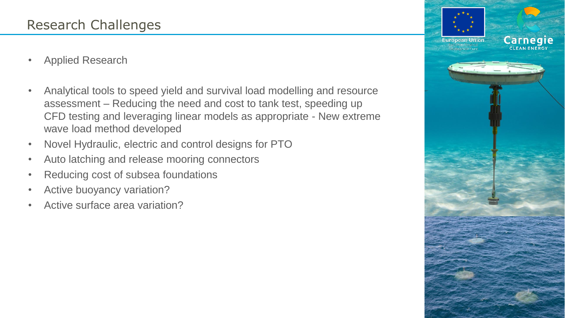- Applied Research
- Analytical tools to speed yield and survival load modelling and resource assessment – Reducing the need and cost to tank test, speeding up CFD testing and leveraging linear models as appropriate - New extreme wave load method developed
- Novel Hydraulic, electric and control designs for PTO
- Auto latching and release mooring connectors
- Reducing cost of subsea foundations
- Active buoyancy variation?
- Active surface area variation?

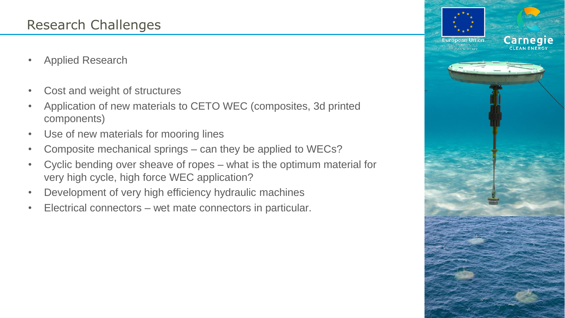- Applied Research
- Cost and weight of structures
- Application of new materials to CETO WEC (composites, 3d printed components)
- Use of new materials for mooring lines
- Composite mechanical springs can they be applied to WECs?
- Cyclic bending over sheave of ropes what is the optimum material for very high cycle, high force WEC application?
- Development of very high efficiency hydraulic machines
- Electrical connectors wet mate connectors in particular.

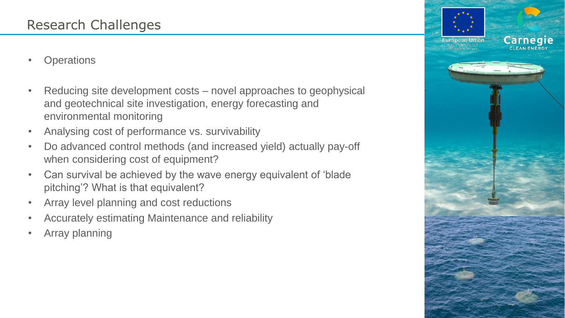- **Operations**
- Reducing site development costs novel approaches to geophysical and geotechnical site investigation, energy forecasting and environmental monitoring
- Analysing cost of performance vs. survivability
- Do advanced control methods (and increased yield) actually pay-off when considering cost of equipment?
- Can survival be achieved by the wave energy equivalent of 'blade pitching'? What is that equivalent?
- Array level planning and cost reductions
- Accurately estimating Maintenance and reliability
- Array planning

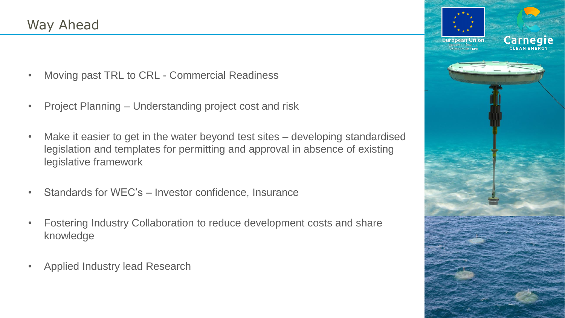- Moving past TRL to CRL Commercial Readiness
- Project Planning Understanding project cost and risk
- Make it easier to get in the water beyond test sites developing standardised legislation and templates for permitting and approval in absence of existing legislative framework
- Standards for WEC's Investor confidence, Insurance
- Fostering Industry Collaboration to reduce development costs and share knowledge
- Applied Industry lead Research

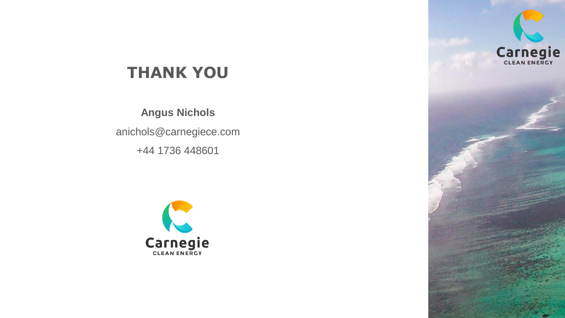

## **THANK YOU**

**Angus Nichols**

anichols@carnegiece.com

+44 1736 448601